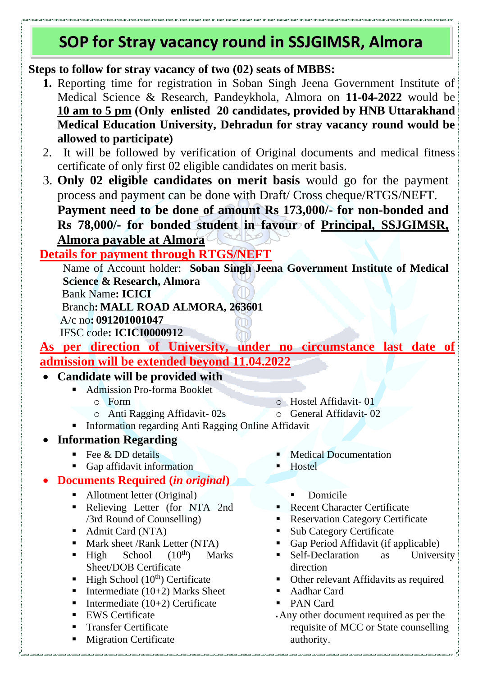# **SOP for Stray vacancy round in SSJGIMSR, Almora**

**Steps to follow for stray vacancy of two (02) seats of MBBS:**

- **1.** Reporting time for registration in Soban Singh Jeena Government Institute of Medical Science & Research, Pandeykhola, Almora on **11-04-2022** would be **10 am to 5 pm (Only enlisted 20 candidates, provided by HNB Uttarakhand Medical Education University, Dehradun for stray vacancy round would be allowed to participate)**
- 2. It will be followed by verification of Original documents and medical fitness certificate of only first 02 eligible candidates on merit basis.
- 3. **Only 02 eligible candidates on merit basis** would go for the payment process and payment can be done with Draft/ Cross cheque/RTGS/NEFT. **Payment need to be done of amount Rs 173,000/- for non-bonded and Rs 78,000/- for bonded student in favour of Principal, SSJGIMSR, Almora payable at Almora**

## **Details for payment through RTGS/NEFT**

Name of Account holder: **Soban Singh Jeena Government Institute of Medical Science & Research, Almora**

Bank Name**: ICICI**

Branch**: MALL ROAD ALMORA, 263601**

A/c no**: 091201001047**

IFSC code**: ICICI0000912**

**As per direction of University, under no circumstance last date of admission will be extended beyond 11.04.2022**

### • **Candidate will be provided with**

- Admission Pro-forma Booklet
	- $\circ$  Form
	- o Anti Ragging Affidavit- 02s
- o Hostel Affidavit- 01

o General Affidavit- 02

**•** Information regarding Anti Ragging Online Affidavit

#### • **Information Regarding**

- $\blacksquare$  Fee & DD details
- Gap affidavit information

### • **Documents Required (***in original***)**

- Allotment letter (Original)
- Relieving Letter (for NTA 2nd /3rd Round of Counselling)
- Admit Card (NTA)
- Mark sheet /Rank Letter (NTA)
- $\blacksquare$  High School (10<sup>th</sup>) Marks Sheet/DOB Certificate
- **•** High School  $(10<sup>th</sup>)$  Certificate
- Intermediate  $(10+2)$  Marks Sheet
- Intermediate  $(10+2)$  Certificate
- EWS Certificate
- **Transfer Certificate**
- Migration Certificate
- **Medical Documentation**
- Hostel
	- **•** Domicile
- Recent Character Certificate
- Reservation Category Certificate
- Sub Category Certificate
- Gap Period Affidavit (if applicable) **Example 1** Self-Declaration as University
- direction
- Other relevant Affidavits as required
- Aadhar Card
- PAN Card
- ▪Any other document required as per the requisite of MCC or State counselling authority.